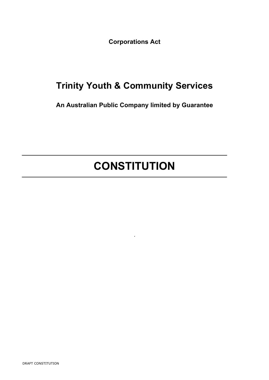**Corporations Act**

# **Trinity Youth & Community Services**

**An Australian Public Company limited by Guarantee**

# **CONSTITUTION**

.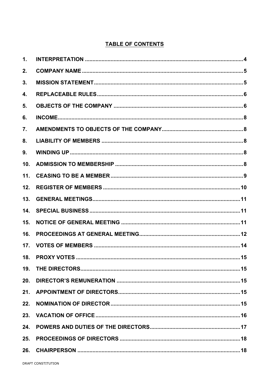# **TABLE OF CONTENTS**

| $\mathbf{1}$ . |  |
|----------------|--|
| 2.             |  |
| 3.             |  |
| 4.             |  |
| 5.             |  |
| 6.             |  |
| 7.             |  |
| 8.             |  |
| 9.             |  |
| 10.            |  |
| 11.            |  |
| 12.            |  |
| 13.            |  |
| 14.            |  |
| 15.            |  |
| 16.            |  |
| 17.            |  |
|                |  |
| 19.            |  |
| 20.            |  |
| 21.            |  |
| 22.            |  |
| 23.            |  |
| 24.            |  |
| 25.            |  |
| 26.            |  |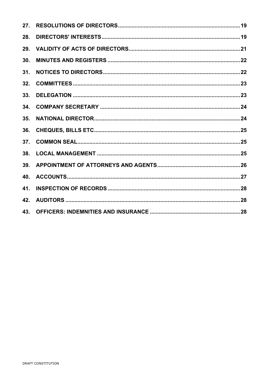| 27. |  |
|-----|--|
| 28. |  |
| 29. |  |
| 30. |  |
| 31. |  |
| 32. |  |
| 33. |  |
| 34. |  |
| 35. |  |
| 36. |  |
| 37. |  |
| 38. |  |
| 39. |  |
| 40. |  |
| 41. |  |
| 42. |  |
| 43. |  |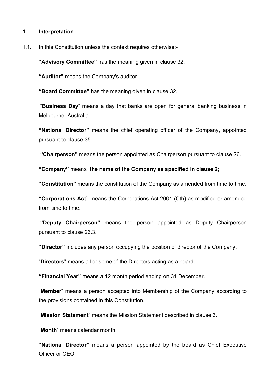### **1. Interpretation**

1.1. In this Constitution unless the context requires otherwise:-

**"Advisory Committee"** has the meaning given in clause 32.

**"Auditor"** means the Company's auditor.

**"Board Committee"** has the meaning given in clause 32.

"**Business Day**" means a day that banks are open for general banking business in Melbourne, Australia.

**"National Director"** means the chief operating officer of the Company, appointed pursuant to clause 35.

**"Chairperson"** means the person appointed as Chairperson pursuant to clause 26.

**"Company"** means **the name of the Company as specified in clause 2;**

**"Constitution"** means the constitution of the Company as amended from time to time.

**"Corporations Act"** means the Corporations Act 2001 (Cth) as modified or amended from time to time.

**"Deputy Chairperson"** means the person appointed as Deputy Chairperson pursuant to clause 26.3.

**"Director"** includes any person occupying the position of director of the Company.

"**Directors**" means all or some of the Directors acting as a board;

**"Financial Year"** means a 12 month period ending on 31 December.

"**Member**" means a person accepted into Membership of the Company according to the provisions contained in this Constitution.

"**Mission Statement**" means the Mission Statement described in clause 3.

"**Month**" means calendar month.

**"National Director"** means a person appointed by the board as Chief Executive Officer or CEO.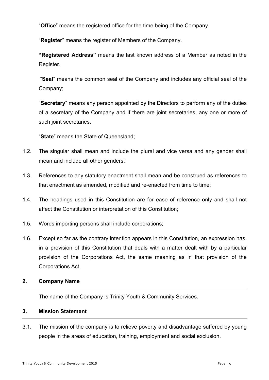"**Office**" means the registered office for the time being of the Company.

"**Register**" means the register of Members of the Company.

**"Registered Address"** means the last known address of a Member as noted in the Register.

"**Seal**" means the common seal of the Company and includes any official seal of the Company;

"**Secretary**" means any person appointed by the Directors to perform any of the duties of a secretary of the Company and if there are joint secretaries, any one or more of such joint secretaries.

"**State**" means the State of Queensland;

- 1.2. The singular shall mean and include the plural and vice versa and any gender shall mean and include all other genders;
- 1.3. References to any statutory enactment shall mean and be construed as references to that enactment as amended, modified and re-enacted from time to time;
- 1.4. The headings used in this Constitution are for ease of reference only and shall not affect the Constitution or interpretation of this Constitution;
- 1.5. Words importing persons shall include corporations;
- 1.6. Except so far as the contrary intention appears in this Constitution, an expression has, in a provision of this Constitution that deals with a matter dealt with by a particular provision of the Corporations Act, the same meaning as in that provision of the Corporations Act.

# **2. Company Name**

The name of the Company is Trinity Youth & Community Services.

# **3. Mission Statement**

3.1. The mission of the company is to relieve poverty and disadvantage suffered by young people in the areas of education, training, employment and social exclusion.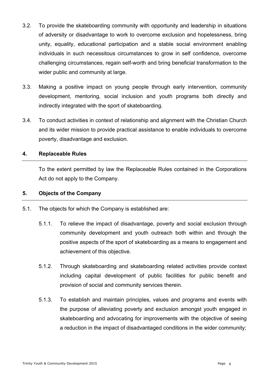- 3.2. To provide the skateboarding community with opportunity and leadership in situations of adversity or disadvantage to work to overcome exclusion and hopelessness, bring unity, equality, educational participation and a stable social environment enabling individuals in such necessitous circumstances to grow in self confidence, overcome challenging circumstances, regain self-worth and bring beneficial transformation to the wider public and community at large.
- 3.3. Making a positive impact on young people through early intervention, community development, mentoring, social inclusion and youth programs both directly and indirectly integrated with the sport of skateboarding.
- 3.4. To conduct activities in context of relationship and alignment with the Christian Church and its wider mission to provide practical assistance to enable individuals to overcome poverty, disadvantage and exclusion.

# **4. Replaceable Rules**

To the extent permitted by law the Replaceable Rules contained in the Corporations Act do not apply to the Company.

# **5. Objects of the Company**

- 5.1. The objects for which the Company is established are:
	- 5.1.1. To relieve the impact of disadvantage, poverty and social exclusion through community development and youth outreach both within and through the positive aspects of the sport of skateboarding as a means to engagement and achievement of this objective.
	- 5.1.2. Through skateboarding and skateboarding related activities provide context including capital development of public facilities for public benefit and provision of social and community services therein.
	- 5.1.3. To establish and maintain principles, values and programs and events with the purpose of alleviating poverty and exclusion amongst youth engaged in skateboarding and advocating for improvements with the objective of seeing a reduction in the impact of disadvantaged conditions in the wider community;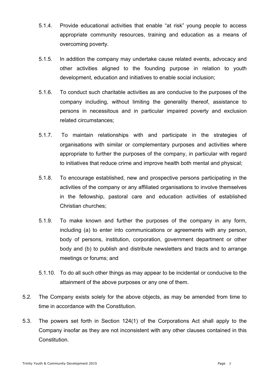- 5.1.4. Provide educational activities that enable "at risk" young people to access appropriate community resources, training and education as a means of overcoming poverty.
- 5.1.5. In addition the company may undertake cause related events, advocacy and other activities aligned to the founding purpose in relation to youth development, education and initiatives to enable social inclusion;
- 5.1.6. To conduct such charitable activities as are conducive to the purposes of the company including, without limiting the generality thereof, assistance to persons in necessitous and in particular impaired poverty and exclusion related circumstances;
- 5.1.7. To maintain relationships with and participate in the strategies of organisations with similar or complementary purposes and activities where appropriate to further the purposes of the company, in particular with regard to initiatives that reduce crime and improve health both mental and physical;
- 5.1.8. To encourage established, new and prospective persons participating in the activities of the company or any affiliated organisations to involve themselves in the fellowship, pastoral care and education activities of established Christian churches;
- 5.1.9. To make known and further the purposes of the company in any form, including (a) to enter into communications or agreements with any person, body of persons, institution, corporation, government department or other body and (b) to publish and distribute newsletters and tracts and to arrange meetings or forums; and
- 5.1.10. To do all such other things as may appear to be incidental or conducive to the attainment of the above purposes or any one of them.
- 5.2. The Company exists solely for the above objects, as may be amended from time to time in accordance with the Constitution.
- 5.3. The powers set forth in Section 124(1) of the Corporations Act shall apply to the Company insofar as they are not inconsistent with any other clauses contained in this Constitution.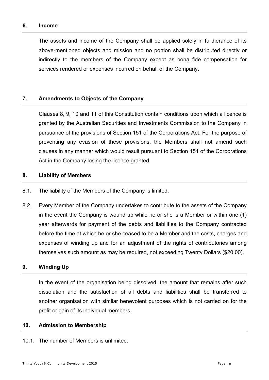## **6. Income**

The assets and income of the Company shall be applied solely in furtherance of its above-mentioned objects and mission and no portion shall be distributed directly or indirectly to the members of the Company except as bona fide compensation for services rendered or expenses incurred on behalf of the Company.

# **7. Amendments to Objects of the Company**

Clauses 8, 9, 10 and 11 of this Constitution contain conditions upon which a licence is granted by the Australian Securities and Investments Commission to the Company in pursuance of the provisions of Section 151 of the Corporations Act. For the purpose of preventing any evasion of these provisions, the Members shall not amend such clauses in any manner which would result pursuant to Section 151 of the Corporations Act in the Company losing the licence granted.

# **8. Liability of Members**

- 8.1. The liability of the Members of the Company is limited.
- 8.2. Every Member of the Company undertakes to contribute to the assets of the Company in the event the Company is wound up while he or she is a Member or within one (1) year afterwards for payment of the debts and liabilities to the Company contracted before the time at which he or she ceased to be a Member and the costs, charges and expenses of winding up and for an adjustment of the rights of contributories among themselves such amount as may be required, not exceeding Twenty Dollars (\$20.00).

# **9. Winding Up**

In the event of the organisation being dissolved, the amount that remains after such dissolution and the satisfaction of all debts and liabilities shall be transferred to another organisation with similar benevolent purposes which is not carried on for the profit or gain of its individual members.

# **10. Admission to Membership**

10.1. The number of Members is unlimited.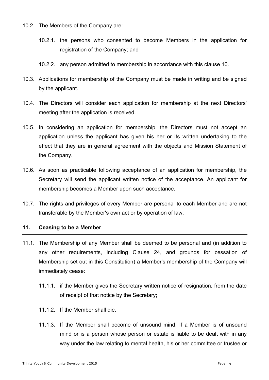10.2. The Members of the Company are:

- 10.2.1. the persons who consented to become Members in the application for registration of the Company; and
- 10.2.2. any person admitted to membership in accordance with this clause 10.
- 10.3. Applications for membership of the Company must be made in writing and be signed by the applicant.
- 10.4. The Directors will consider each application for membership at the next Directors' meeting after the application is received.
- 10.5. In considering an application for membership, the Directors must not accept an application unless the applicant has given his her or its written undertaking to the effect that they are in general agreement with the objects and Mission Statement of the Company.
- 10.6. As soon as practicable following acceptance of an application for membership, the Secretary will send the applicant written notice of the acceptance. An applicant for membership becomes a Member upon such acceptance.
- 10.7. The rights and privileges of every Member are personal to each Member and are not transferable by the Member's own act or by operation of law.

# **11. Ceasing to be a Member**

- 11.1. The Membership of any Member shall be deemed to be personal and (in addition to any other requirements, including Clause 24, and grounds for cessation of Membership set out in this Constitution) a Member's membership of the Company will immediately cease:
	- 11.1.1. if the Member gives the Secretary written notice of resignation, from the date of receipt of that notice by the Secretary;
	- 11.1.2. If the Member shall die.
	- 11.1.3. If the Member shall become of unsound mind. If a Member is of unsound mind or is a person whose person or estate is liable to be dealt with in any way under the law relating to mental health, his or her committee or trustee or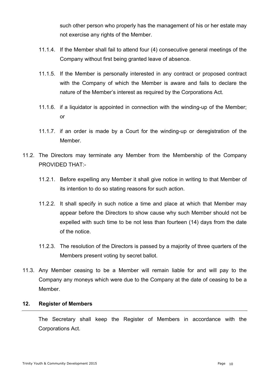such other person who properly has the management of his or her estate may not exercise any rights of the Member.

- 11.1.4. If the Member shall fail to attend four (4) consecutive general meetings of the Company without first being granted leave of absence.
- 11.1.5. If the Member is personally interested in any contract or proposed contract with the Company of which the Member is aware and fails to declare the nature of the Member's interest as required by the Corporations Act.
- 11.1.6. if a liquidator is appointed in connection with the winding-up of the Member; or
- 11.1.7. if an order is made by a Court for the winding-up or deregistration of the Member.
- 11.2. The Directors may terminate any Member from the Membership of the Company PROVIDED THAT:-
	- 11.2.1. Before expelling any Member it shall give notice in writing to that Member of its intention to do so stating reasons for such action.
	- 11.2.2. It shall specify in such notice a time and place at which that Member may appear before the Directors to show cause why such Member should not be expelled with such time to be not less than fourteen (14) days from the date of the notice.
	- 11.2.3. The resolution of the Directors is passed by a majority of three quarters of the Members present voting by secret ballot.
- 11.3. Any Member ceasing to be a Member will remain liable for and will pay to the Company any moneys which were due to the Company at the date of ceasing to be a Member.

# **12. Register of Members**

The Secretary shall keep the Register of Members in accordance with the Corporations Act.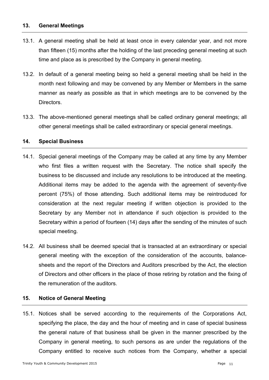# **13. General Meetings**

- 13.1. A general meeting shall be held at least once in every calendar year, and not more than fifteen (15) months after the holding of the last preceding general meeting at such time and place as is prescribed by the Company in general meeting.
- 13.2. In default of a general meeting being so held a general meeting shall be held in the month next following and may be convened by any Member or Members in the same manner as nearly as possible as that in which meetings are to be convened by the Directors.
- 13.3. The above-mentioned general meetings shall be called ordinary general meetings; all other general meetings shall be called extraordinary or special general meetings.

# **14. Special Business**

- 14.1. Special general meetings of the Company may be called at any time by any Member who first files a written request with the Secretary. The notice shall specify the business to be discussed and include any resolutions to be introduced at the meeting. Additional items may be added to the agenda with the agreement of seventy-five percent (75%) of those attending. Such additional items may be reintroduced for consideration at the next regular meeting if written objection is provided to the Secretary by any Member not in attendance if such objection is provided to the Secretary within a period of fourteen (14) days after the sending of the minutes of such special meeting.
- 14.2. All business shall be deemed special that is transacted at an extraordinary or special general meeting with the exception of the consideration of the accounts, balancesheets and the report of the Directors and Auditors prescribed by the Act, the election of Directors and other officers in the place of those retiring by rotation and the fixing of the remuneration of the auditors.

# **15. Notice of General Meeting**

15.1. Notices shall be served according to the requirements of the Corporations Act, specifying the place, the day and the hour of meeting and in case of special business the general nature of that business shall be given in the manner prescribed by the Company in general meeting, to such persons as are under the regulations of the Company entitled to receive such notices from the Company, whether a special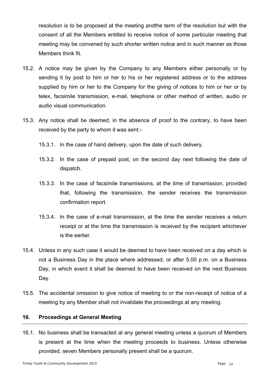resolution is to be proposed at the meeting andthe term of the resolution but with the consent of all the Members entitled to receive notice of some particular meeting that meeting may be convened by such shorter written notice and in such manner as those Members think fit.

- 15.2. A notice may be given by the Company to any Members either personally or by sending it by post to him or her to his or her registered address or to the address supplied by him or her to the Company for the giving of notices to him or her or by telex, facsimile transmission, e-mail, telephone or other method of written, audio or audio visual communication.
- 15.3. Any notice shall be deemed, in the absence of proof to the contrary, to have been received by the party to whom it was sent:-
	- 15.3.1. In the case of hand delivery, upon the date of such delivery.
	- 15.3.2. In the case of prepaid post, on the second day next following the date of dispatch.
	- 15.3.3. In the case of facsimile transmissions, at the time of transmission, provided that, following the transmission, the sender receives the transmission confirmation report.
	- 15.3.4. In the case of e-mail transmission, at the time the sender receives a return receipt or at the time the transmission is received by the recipient whichever is the earlier.
- 15.4. Unless in any such case it would be deemed to have been received on a day which is not a Business Day in the place where addressed, or after 5.00 p.m. on a Business Day, in which event it shall be deemed to have been received on the next Business Day.
- 15.5. The accidental omission to give notice of meeting to or the non-receipt of notice of a meeting by any Member shall not invalidate the proceedings at any meeting.

# **16. Proceedings at General Meeting**

16.1. No business shall be transacted at any general meeting unless a quorum of Members is present at the time when the meeting proceeds to business. Unless otherwise provided, seven Members personally present shall be a quorum.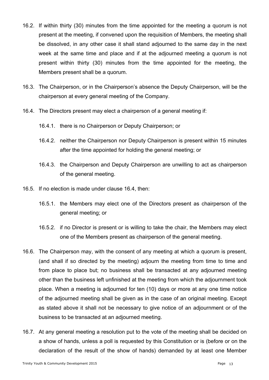- 16.2. If within thirty (30) minutes from the time appointed for the meeting a quorum is not present at the meeting, if convened upon the requisition of Members, the meeting shall be dissolved, in any other case it shall stand adjourned to the same day in the next week at the same time and place and if at the adjourned meeting a quorum is not present within thirty (30) minutes from the time appointed for the meeting, the Members present shall be a quorum.
- 16.3. The Chairperson, or in the Chairperson's absence the Deputy Chairperson, will be the chairperson at every general meeting of the Company.
- 16.4. The Directors present may elect a chairperson of a general meeting if:
	- 16.4.1. there is no Chairperson or Deputy Chairperson; or
	- 16.4.2. neither the Chairperson nor Deputy Chairperson is present within 15 minutes after the time appointed for holding the general meeting; or
	- 16.4.3. the Chairperson and Deputy Chairperson are unwilling to act as chairperson of the general meeting.
- 16.5. If no election is made under clause 16.4, then:
	- 16.5.1. the Members may elect one of the Directors present as chairperson of the general meeting; or
	- 16.5.2. if no Director is present or is willing to take the chair, the Members may elect one of the Members present as chairperson of the general meeting.
- 16.6. The Chairperson may, with the consent of any meeting at which a quorum is present, (and shall if so directed by the meeting) adjourn the meeting from time to time and from place to place but; no business shall be transacted at any adjourned meeting other than the business left unfinished at the meeting from which the adjournment took place. When a meeting is adjourned for ten (10) days or more at any one time notice of the adjourned meeting shall be given as in the case of an original meeting. Except as stated above it shall not be necessary to give notice of an adjournment or of the business to be transacted at an adjourned meeting.
- 16.7. At any general meeting a resolution put to the vote of the meeting shall be decided on a show of hands, unless a poll is requested by this Constitution or is (before or on the declaration of the result of the show of hands) demanded by at least one Member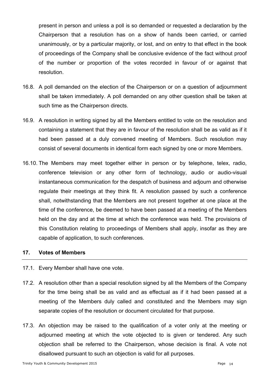present in person and unless a poll is so demanded or requested a declaration by the Chairperson that a resolution has on a show of hands been carried, or carried unanimously, or by a particular majority, or lost, and on entry to that effect in the book of proceedings of the Company shall be conclusive evidence of the fact without proof of the number or proportion of the votes recorded in favour of or against that resolution.

- 16.8. A poll demanded on the election of the Chairperson or on a question of adjournment shall be taken immediately. A poll demanded on any other question shall be taken at such time as the Chairperson directs.
- 16.9. A resolution in writing signed by all the Members entitled to vote on the resolution and containing a statement that they are in favour of the resolution shall be as valid as if it had been passed at a duly convened meeting of Members. Such resolution may consist of several documents in identical form each signed by one or more Members.
- 16.10. The Members may meet together either in person or by telephone, telex, radio, conference television or any other form of technology, audio or audio-visual instantaneous communication for the despatch of business and adjourn and otherwise regulate their meetings at they think fit. A resolution passed by such a conference shall, notwithstanding that the Members are not present together at one place at the time of the conference, be deemed to have been passed at a meeting of the Members held on the day and at the time at which the conference was held. The provisions of this Constitution relating to proceedings of Members shall apply, insofar as they are capable of application, to such conferences.

# **17. Votes of Members**

- 17.1. Every Member shall have one vote.
- 17.2. A resolution other than a special resolution signed by all the Members of the Company for the time being shall be as valid and as effectual as if it had been passed at a meeting of the Members duly called and constituted and the Members may sign separate copies of the resolution or document circulated for that purpose.
- 17.3. An objection may be raised to the qualification of a voter only at the meeting or adjourned meeting at which the vote objected to is given or tendered. Any such objection shall be referred to the Chairperson, whose decision is final. A vote not disallowed pursuant to such an objection is valid for all purposes.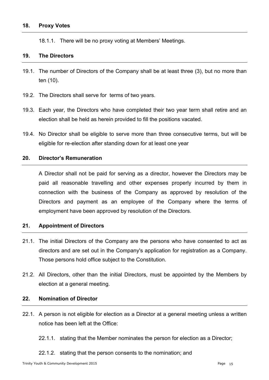18.1.1. There will be no proxy voting at Members' Meetings.

# **19. The Directors**

- 19.1. The number of Directors of the Company shall be at least three (3), but no more than ten (10).
- 19.2. The Directors shall serve for terms of two years.
- 19.3. Each year, the Directors who have completed their two year term shall retire and an election shall be held as herein provided to fill the positions vacated.
- 19.4. No Director shall be eligible to serve more than three consecutive terms, but will be eligible for re-election after standing down for at least one year

## **20. Director's Remuneration**

A Director shall not be paid for serving as a director, however the Directors may be paid all reasonable travelling and other expenses properly incurred by them in connection with the business of the Company as approved by resolution of the Directors and payment as an employee of the Company where the terms of employment have been approved by resolution of the Directors.

# **21. Appointment of Directors**

- 21.1. The initial Directors of the Company are the persons who have consented to act as directors and are set out in the Company's application for registration as a Company. Those persons hold office subject to the Constitution.
- 21.2. All Directors, other than the initial Directors, must be appointed by the Members by election at a general meeting.

#### **22. Nomination of Director**

- 22.1. A person is not eligible for election as a Director at a general meeting unless a written notice has been left at the Office:
	- 22.1.1. stating that the Member nominates the person for election as a Director;
	- 22.1.2. stating that the person consents to the nomination; and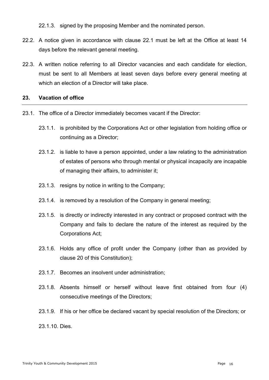22.1.3. signed by the proposing Member and the nominated person.

- 22.2. A notice given in accordance with clause 22.1 must be left at the Office at least 14 days before the relevant general meeting.
- 22.3. A written notice referring to all Director vacancies and each candidate for election, must be sent to all Members at least seven days before every general meeting at which an election of a Director will take place.

# **23. Vacation of office**

- 23.1. The office of a Director immediately becomes vacant if the Director:
	- 23.1.1. is prohibited by the Corporations Act or other legislation from holding office or continuing as a Director;
	- 23.1.2. is liable to have a person appointed, under a law relating to the administration of estates of persons who through mental or physical incapacity are incapable of managing their affairs, to administer it;
	- 23.1.3. resigns by notice in writing to the Company;
	- 23.1.4. is removed by a resolution of the Company in general meeting;
	- 23.1.5. is directly or indirectly interested in any contract or proposed contract with the Company and fails to declare the nature of the interest as required by the Corporations Act;
	- 23.1.6. Holds any office of profit under the Company (other than as provided by clause 20 of this Constitution);
	- 23.1.7. Becomes an insolvent under administration;
	- 23.1.8. Absents himself or herself without leave first obtained from four (4) consecutive meetings of the Directors;
	- 23.1.9. If his or her office be declared vacant by special resolution of the Directors; or
	- 23.1.10. Dies.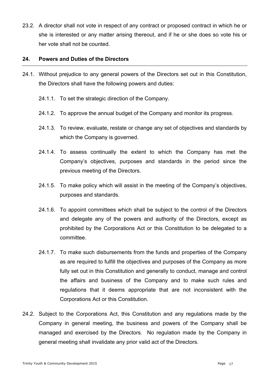23.2. A director shall not vote in respect of any contract or proposed contract in which he or she is interested or any matter arising thereout, and if he or she does so vote his or her vote shall not be counted.

# **24. Powers and Duties of the Directors**

- 24.1. Without prejudice to any general powers of the Directors set out in this Constitution, the Directors shall have the following powers and duties:
	- 24.1.1. To set the strategic direction of the Company.
	- 24.1.2. To approve the annual budget of the Company and monitor its progress.
	- 24.1.3. To review, evaluate, restate or change any set of objectives and standards by which the Company is governed.
	- 24.1.4. To assess continually the extent to which the Company has met the Company's objectives, purposes and standards in the period since the previous meeting of the Directors.
	- 24.1.5. To make policy which will assist in the meeting of the Company's objectives, purposes and standards.
	- 24.1.6. To appoint committees which shall be subject to the control of the Directors and delegate any of the powers and authority of the Directors, except as prohibited by the Corporations Act or this Constitution to be delegated to a committee.
	- 24.1.7. To make such disbursements from the funds and properties of the Company as are required to fulfill the objectives and purposes of the Company as more fully set out in this Constitution and generally to conduct, manage and control the affairs and business of the Company and to make such rules and regulations that it deems appropriate that are not inconsistent with the Corporations Act or this Constitution.
- 24.2. Subject to the Corporations Act, this Constitution and any regulations made by the Company in general meeting, the business and powers of the Company shall be managed and exercised by the Directors. No regulation made by the Company in general meeting shall invalidate any prior valid act of the Directors.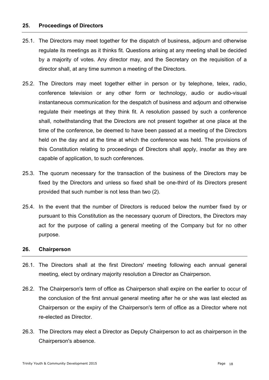# **25. Proceedings of Directors**

- 25.1. The Directors may meet together for the dispatch of business, adjourn and otherwise regulate its meetings as it thinks fit. Questions arising at any meeting shall be decided by a majority of votes. Any director may, and the Secretary on the requisition of a director shall, at any time summon a meeting of the Directors.
- 25.2. The Directors may meet together either in person or by telephone, telex, radio, conference television or any other form or technology, audio or audio-visual instantaneous communication for the despatch of business and adjourn and otherwise regulate their meetings at they think fit. A resolution passed by such a conference shall, notwithstanding that the Directors are not present together at one place at the time of the conference, be deemed to have been passed at a meeting of the Directors held on the day and at the time at which the conference was held. The provisions of this Constitution relating to proceedings of Directors shall apply, insofar as they are capable of application, to such conferences.
- 25.3. The quorum necessary for the transaction of the business of the Directors may be fixed by the Directors and unless so fixed shall be one-third of its Directors present provided that such number is not less than two (2).
- 25.4. In the event that the number of Directors is reduced below the number fixed by or pursuant to this Constitution as the necessary quorum of Directors, the Directors may act for the purpose of calling a general meeting of the Company but for no other purpose.

#### **26. Chairperson**

- 26.1. The Directors shall at the first Directors' meeting following each annual general meeting, elect by ordinary majority resolution a Director as Chairperson.
- 26.2. The Chairperson's term of office as Chairperson shall expire on the earlier to occur of the conclusion of the first annual general meeting after he or she was last elected as Chairperson or the expiry of the Chairperson's term of office as a Director where not re-elected as Director.
- 26.3. The Directors may elect a Director as Deputy Chairperson to act as chairperson in the Chairperson's absence.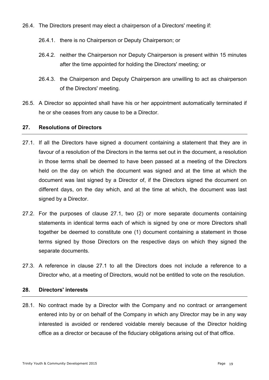- 26.4. The Directors present may elect a chairperson of a Directors' meeting if:
	- 26.4.1. there is no Chairperson or Deputy Chairperson; or
	- 26.4.2. neither the Chairperson nor Deputy Chairperson is present within 15 minutes after the time appointed for holding the Directors' meeting; or
	- 26.4.3. the Chairperson and Deputy Chairperson are unwilling to act as chairperson of the Directors' meeting.
- 26.5. A Director so appointed shall have his or her appointment automatically terminated if he or she ceases from any cause to be a Director.

# **27. Resolutions of Directors**

- 27.1. If all the Directors have signed a document containing a statement that they are in favour of a resolution of the Directors in the terms set out in the document, a resolution in those terms shall be deemed to have been passed at a meeting of the Directors held on the day on which the document was signed and at the time at which the document was last signed by a Director of, if the Directors signed the document on different days, on the day which, and at the time at which, the document was last signed by a Director.
- 27.2. For the purposes of clause 27.1, two (2) or more separate documents containing statements in identical terms each of which is signed by one or more Directors shall together be deemed to constitute one (1) document containing a statement in those terms signed by those Directors on the respective days on which they signed the separate documents.
- 27.3. A reference in clause 27.1 to all the Directors does not include a reference to a Director who, at a meeting of Directors, would not be entitled to vote on the resolution.

# **28. Directors' interests**

28.1. No contract made by a Director with the Company and no contract or arrangement entered into by or on behalf of the Company in which any Director may be in any way interested is avoided or rendered voidable merely because of the Director holding office as a director or because of the fiduciary obligations arising out of that office.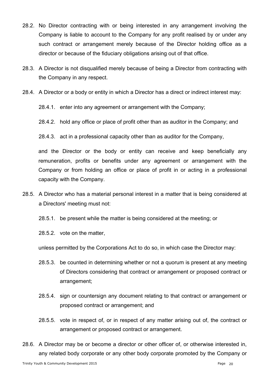- 28.2. No Director contracting with or being interested in any arrangement involving the Company is liable to account to the Company for any profit realised by or under any such contract or arrangement merely because of the Director holding office as a director or because of the fiduciary obligations arising out of that office.
- 28.3. A Director is not disqualified merely because of being a Director from contracting with the Company in any respect.
- 28.4. A Director or a body or entity in which a Director has a direct or indirect interest may:
	- 28.4.1. enter into any agreement or arrangement with the Company;
	- 28.4.2. hold any office or place of profit other than as auditor in the Company; and
	- 28.4.3. act in a professional capacity other than as auditor for the Company,

and the Director or the body or entity can receive and keep beneficially any remuneration, profits or benefits under any agreement or arrangement with the Company or from holding an office or place of profit in or acting in a professional capacity with the Company.

- 28.5. A Director who has a material personal interest in a matter that is being considered at a Directors' meeting must not:
	- 28.5.1. be present while the matter is being considered at the meeting; or
	- 28.5.2. vote on the matter,

unless permitted by the Corporations Act to do so, in which case the Director may:

- 28.5.3. be counted in determining whether or not a quorum is present at any meeting of Directors considering that contract or arrangement or proposed contract or arrangement;
- 28.5.4. sign or countersign any document relating to that contract or arrangement or proposed contract or arrangement; and
- 28.5.5. vote in respect of, or in respect of any matter arising out of, the contract or arrangement or proposed contract or arrangement.
- 28.6. A Director may be or become a director or other officer of, or otherwise interested in, any related body corporate or any other body corporate promoted by the Company or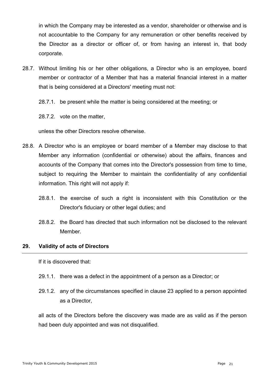in which the Company may be interested as a vendor, shareholder or otherwise and is not accountable to the Company for any remuneration or other benefits received by the Director as a director or officer of, or from having an interest in, that body corporate.

28.7. Without limiting his or her other obligations, a Director who is an employee, board member or contractor of a Member that has a material financial interest in a matter that is being considered at a Directors' meeting must not:

28.7.1. be present while the matter is being considered at the meeting; or

28.7.2. vote on the matter,

unless the other Directors resolve otherwise.

- 28.8. A Director who is an employee or board member of a Member may disclose to that Member any information (confidential or otherwise) about the affairs, finances and accounts of the Company that comes into the Director's possession from time to time, subject to requiring the Member to maintain the confidentiality of any confidential information. This right will not apply if:
	- 28.8.1. the exercise of such a right is inconsistent with this Constitution or the Director's fiduciary or other legal duties; and
	- 28.8.2. the Board has directed that such information not be disclosed to the relevant Member.

# **29. Validity of acts of Directors**

If it is discovered that:

- 29.1.1. there was a defect in the appointment of a person as a Director; or
- 29.1.2. any of the circumstances specified in clause 23 applied to a person appointed as a Director,

all acts of the Directors before the discovery was made are as valid as if the person had been duly appointed and was not disqualified.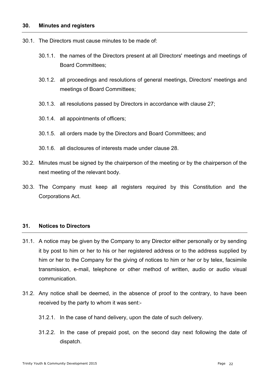- 30.1. The Directors must cause minutes to be made of:
	- 30.1.1. the names of the Directors present at all Directors' meetings and meetings of Board Committees;
	- 30.1.2. all proceedings and resolutions of general meetings, Directors' meetings and meetings of Board Committees;
	- 30.1.3. all resolutions passed by Directors in accordance with clause 27;
	- 30.1.4. all appointments of officers;
	- 30.1.5. all orders made by the Directors and Board Committees; and
	- 30.1.6. all disclosures of interests made under clause 28.
- 30.2. Minutes must be signed by the chairperson of the meeting or by the chairperson of the next meeting of the relevant body.
- 30.3. The Company must keep all registers required by this Constitution and the Corporations Act.

# **31. Notices to Directors**

- 31.1. A notice may be given by the Company to any Director either personally or by sending it by post to him or her to his or her registered address or to the address supplied by him or her to the Company for the giving of notices to him or her or by telex, facsimile transmission, e-mail, telephone or other method of written, audio or audio visual communication.
- 31.2. Any notice shall be deemed, in the absence of proof to the contrary, to have been received by the party to whom it was sent:-
	- 31.2.1. In the case of hand delivery, upon the date of such delivery.
	- 31.2.2. In the case of prepaid post, on the second day next following the date of dispatch.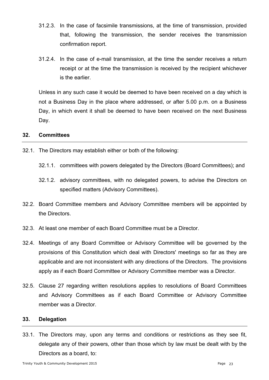- 31.2.3. In the case of facsimile transmissions, at the time of transmission, provided that, following the transmission, the sender receives the transmission confirmation report.
- 31.2.4. In the case of e-mail transmission, at the time the sender receives a return receipt or at the time the transmission is received by the recipient whichever is the earlier.

Unless in any such case it would be deemed to have been received on a day which is not a Business Day in the place where addressed, or after 5.00 p.m. on a Business Day, in which event it shall be deemed to have been received on the next Business Day.

## **32. Committees**

- 32.1. The Directors may establish either or both of the following:
	- 32.1.1. committees with powers delegated by the Directors (Board Committees); and
	- 32.1.2. advisory committees, with no delegated powers, to advise the Directors on specified matters (Advisory Committees).
- 32.2. Board Committee members and Advisory Committee members will be appointed by the Directors.
- 32.3. At least one member of each Board Committee must be a Director.
- 32.4. Meetings of any Board Committee or Advisory Committee will be governed by the provisions of this Constitution which deal with Directors' meetings so far as they are applicable and are not inconsistent with any directions of the Directors. The provisions apply as if each Board Committee or Advisory Committee member was a Director.
- 32.5. Clause 27 regarding written resolutions applies to resolutions of Board Committees and Advisory Committees as if each Board Committee or Advisory Committee member was a Director.

### **33. Delegation**

33.1. The Directors may, upon any terms and conditions or restrictions as they see fit, delegate any of their powers, other than those which by law must be dealt with by the Directors as a board, to: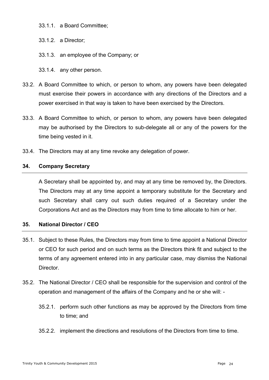- 33.1.1. a Board Committee;
- 33.1.2. a Director;
- 33.1.3. an employee of the Company; or
- 33.1.4. any other person.
- 33.2. A Board Committee to which, or person to whom, any powers have been delegated must exercise their powers in accordance with any directions of the Directors and a power exercised in that way is taken to have been exercised by the Directors.
- 33.3. A Board Committee to which, or person to whom, any powers have been delegated may be authorised by the Directors to sub-delegate all or any of the powers for the time being vested in it.
- 33.4. The Directors may at any time revoke any delegation of power.

# **34. Company Secretary**

A Secretary shall be appointed by, and may at any time be removed by, the Directors. The Directors may at any time appoint a temporary substitute for the Secretary and such Secretary shall carry out such duties required of a Secretary under the Corporations Act and as the Directors may from time to time allocate to him or her.

# **35. National Director / CEO**

- 35.1. Subject to these Rules, the Directors may from time to time appoint a National Director or CEO for such period and on such terms as the Directors think fit and subject to the terms of any agreement entered into in any particular case, may dismiss the National Director.
- 35.2. The National Director / CEO shall be responsible for the supervision and control of the operation and management of the affairs of the Company and he or she will: -
	- 35.2.1. perform such other functions as may be approved by the Directors from time to time; and
	- 35.2.2. implement the directions and resolutions of the Directors from time to time.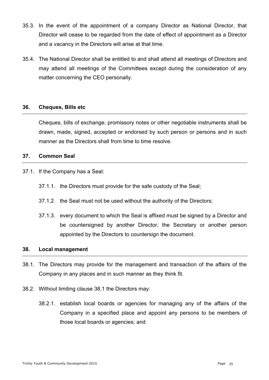- 35.3. In the event of the appointment of a company Director as National Director, that Director will cease to be regarded from the date of effect of appointment as a Director and a vacancy in the Directors will arise at that time.
- 35.4. The National Director shall be entitled to and shall attend all meetings of Directors and may attend all meetings of the Committees except during the consideration of any matter concerning the CEO personally.

## **36. Cheques, Bills etc**

Cheques, bills of exchange, promissory notes or other negotiable instruments shall be drawn, made, signed, accepted or endorsed by such person or persons and in such manner as the Directors shall from time to time resolve.

## **37. Common Seal**

- 37.1. If the Company has a Seal:
	- 37.1.1. the Directors must provide for the safe custody of the Seal;
	- 37.1.2. the Seal must not be used without the authority of the Directors;
	- 37.1.3. every document to which the Seal is affixed must be signed by a Director and be countersigned by another Director, the Secretary or another person appointed by the Directors to countersign the document.

#### **38. Local management**

- 38.1. The Directors may provide for the management and transaction of the affairs of the Company in any places and in such manner as they think fit.
- 38.2. Without limiting clause 38.1 the Directors may:
	- 38.2.1. establish local boards or agencies for managing any of the affairs of the Company in a specified place and appoint any persons to be members of those local boards or agencies; and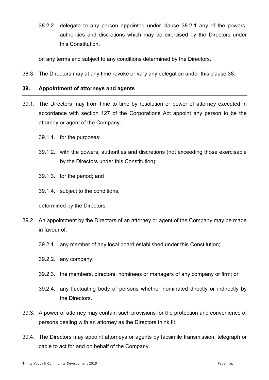38.2.2. delegate to any person appointed under clause 38.2.1 any of the powers, authorities and discretions which may be exercised by the Directors under this Constitution,

on any terms and subject to any conditions determined by the Directors.

38.3. The Directors may at any time revoke or vary any delegation under this clause 38.

# **39. Appointment of attorneys and agents**

- 39.1. The Directors may from time to time by resolution or power of attorney executed in accordance with section 127 of the Corporations Act appoint any person to be the attorney or agent of the Company:
	- 39.1.1. for the purposes;
	- 39.1.2. with the powers, authorities and discretions (not exceeding those exercisable by the Directors under this Constitution);
	- 39.1.3. for the period; and
	- 39.1.4. subject to the conditions,

determined by the Directors.

- 39.2. An appointment by the Directors of an attorney or agent of the Company may be made in favour of:
	- 39.2.1. any member of any local board established under this Constitution;
	- 39.2.2. any company;
	- 39.2.3. the members, directors, nominees or managers of any company or firm; or
	- 39.2.4. any fluctuating body of persons whether nominated directly or indirectly by the Directors.
- 39.3. A power of attorney may contain such provisions for the protection and convenience of persons dealing with an attorney as the Directors think fit.
- 39.4. The Directors may appoint attorneys or agents by facsimile transmission, telegraph or cable to act for and on behalf of the Company.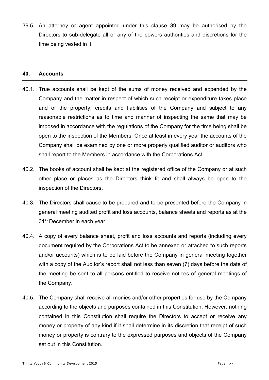39.5. An attorney or agent appointed under this clause 39 may be authorised by the Directors to sub-delegate all or any of the powers authorities and discretions for the time being vested in it.

#### **40. Accounts**

- 40.1. True accounts shall be kept of the sums of money received and expended by the Company and the matter in respect of which such receipt or expenditure takes place and of the property, credits and liabilities of the Company and subject to any reasonable restrictions as to time and manner of inspecting the same that may be imposed in accordance with the regulations of the Company for the time being shall be open to the inspection of the Members. Once at least in every year the accounts of the Company shall be examined by one or more properly qualified auditor or auditors who shall report to the Members in accordance with the Corporations Act.
- 40.2. The books of account shall be kept at the registered office of the Company or at such other place or places as the Directors think fit and shall always be open to the inspection of the Directors.
- 40.3. The Directors shall cause to be prepared and to be presented before the Company in general meeting audited profit and loss accounts, balance sheets and reports as at the 31<sup>st</sup> December in each year.
- 40.4. A copy of every balance sheet, profit and loss accounts and reports (including every document required by the Corporations Act to be annexed or attached to such reports and/or accounts) which is to be laid before the Company in general meeting together with a copy of the Auditor's report shall not less than seven (7) days before the date of the meeting be sent to all persons entitled to receive notices of general meetings of the Company.
- 40.5. The Company shall receive all monies and/or other properties for use by the Company according to the objects and purposes contained in this Constitution. However, nothing contained in this Constitution shall require the Directors to accept or receive any money or property of any kind if it shall determine in its discretion that receipt of such money or property is contrary to the expressed purposes and objects of the Company set out in this Constitution.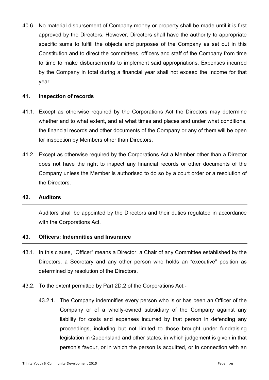40.6. No material disbursement of Company money or property shall be made until it is first approved by the Directors. However, Directors shall have the authority to appropriate specific sums to fulfill the objects and purposes of the Company as set out in this Constitution and to direct the committees, officers and staff of the Company from time to time to make disbursements to implement said appropriations. Expenses incurred by the Company in total during a financial year shall not exceed the Income for that year.

# **41. Inspection of records**

- 41.1. Except as otherwise required by the Corporations Act the Directors may determine whether and to what extent, and at what times and places and under what conditions, the financial records and other documents of the Company or any of them will be open for inspection by Members other than Directors.
- 41.2. Except as otherwise required by the Corporations Act a Member other than a Director does not have the right to inspect any financial records or other documents of the Company unless the Member is authorised to do so by a court order or a resolution of the Directors.

#### **42. Auditors**

Auditors shall be appointed by the Directors and their duties regulated in accordance with the Corporations Act.

# **43. Officers: Indemnities and Insurance**

- 43.1. In this clause, "Officer" means a Director, a Chair of any Committee established by the Directors, a Secretary and any other person who holds an "executive" position as determined by resolution of the Directors.
- 43.2. To the extent permitted by Part 2D.2 of the Corporations Act:-
	- 43.2.1. The Company indemnifies every person who is or has been an Officer of the Company or of a wholly-owned subsidiary of the Company against any liability for costs and expenses incurred by that person in defending any proceedings, including but not limited to those brought under fundraising legislation in Queensland and other states, in which judgement is given in that person's favour, or in which the person is acquitted, or in connection with an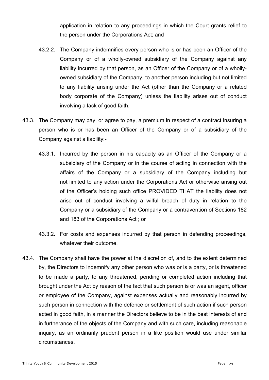application in relation to any proceedings in which the Court grants relief to the person under the Corporations Act; and

- 43.2.2. The Company indemnifies every person who is or has been an Officer of the Company or of a wholly-owned subsidiary of the Company against any liability incurred by that person, as an Officer of the Company or of a whollyowned subsidiary of the Company, to another person including but not limited to any liability arising under the Act (other than the Company or a related body corporate of the Company) unless the liability arises out of conduct involving a lack of good faith.
- 43.3. The Company may pay, or agree to pay, a premium in respect of a contract insuring a person who is or has been an Officer of the Company or of a subsidiary of the Company against a liability:-
	- 43.3.1. Incurred by the person in his capacity as an Officer of the Company or a subsidiary of the Company or in the course of acting in connection with the affairs of the Company or a subsidiary of the Company including but not limited to any action under the Corporations Act or otherwise arising out of the Officer's holding such office PROVIDED THAT the liability does not arise out of conduct involving a wilful breach of duty in relation to the Company or a subsidiary of the Company or a contravention of Sections 182 and 183 of the Corporations Act ; or
	- 43.3.2. For costs and expenses incurred by that person in defending proceedings, whatever their outcome.
- 43.4. The Company shall have the power at the discretion of, and to the extent determined by, the Directors to indemnify any other person who was or is a party, or is threatened to be made a party, to any threatened, pending or completed action including that brought under the Act by reason of the fact that such person is or was an agent, officer or employee of the Company, against expenses actually and reasonably incurred by such person in connection with the defence or settlement of such action if such person acted in good faith, in a manner the Directors believe to be in the best interests of and in furtherance of the objects of the Company and with such care, including reasonable inquiry, as an ordinarily prudent person in a like position would use under similar circumstances.